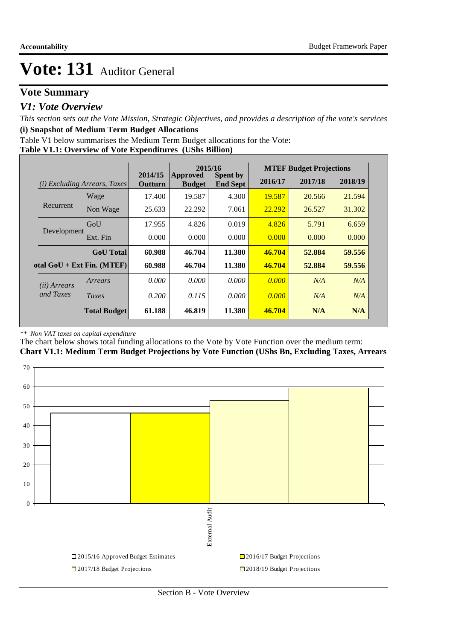## **Vote Summary**

### *V1: Vote Overview*

*This section sets out the Vote Mission, Strategic Objectives, and provides a description of the vote's services* **(i) Snapshot of Medium Term Budget Allocations** 

Table V1 below summarises the Medium Term Budget allocations for the Vote:

**Table V1.1: Overview of Vote Expenditures (UShs Billion)**

|                       |                                 |                    | 2015/16                          |                                    |         | <b>MTEF Budget Projections</b> |         |
|-----------------------|---------------------------------|--------------------|----------------------------------|------------------------------------|---------|--------------------------------|---------|
| (i)                   | <i>Excluding Arrears, Taxes</i> | 2014/15<br>Outturn | <b>Approved</b><br><b>Budget</b> | <b>Spent by</b><br><b>End Sept</b> | 2016/17 | 2017/18                        | 2018/19 |
|                       | Wage                            | 17.400             | 19.587                           | 4.300                              | 19.587  | 20.566                         | 21.594  |
| Recurrent             | Non Wage                        | 25.633             | 22.292                           | 7.061                              | 22.292  | 26.527                         | 31.302  |
|                       | GoU                             | 17.955             | 4.826                            | 0.019                              | 4.826   | 5.791                          | 6.659   |
| Development           | Ext. Fin                        | 0.000              | 0.000                            | 0.000                              | 0.000   | 0.000                          | 0.000   |
|                       | <b>GoU</b> Total                | 60.988             | 46.704                           | 11.380                             | 46.704  | 52.884                         | 59.556  |
|                       | otal $GoU + Ext Fin. (MTEF)$    | 60.988             | 46.704                           | 11.380                             | 46.704  | 52.884                         | 59.556  |
| ( <i>ii</i> ) Arrears | Arrears                         | 0.000              | 0.000                            | 0.000                              | 0.000   | N/A                            | N/A     |
| and Taxes             | Taxes                           | 0.200              | 0.115                            | 0.000                              | 0.000   | N/A                            | N/A     |
|                       | <b>Total Budget</b>             | 61.188             | 46.819                           | 11.380                             | 46.704  | N/A                            | N/A     |

#### *\*\* Non VAT taxes on capital expenditure*

The chart below shows total funding allocations to the Vote by Vote Function over the medium term: **Chart V1.1: Medium Term Budget Projections by Vote Function (UShs Bn, Excluding Taxes, Arrears**

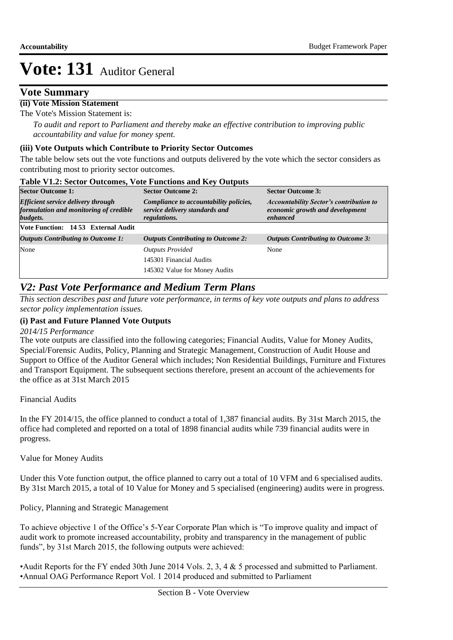### **Vote Summary**

### **(ii) Vote Mission Statement**

The Vote's Mission Statement is:

*To audit and report to Parliament and thereby make an effective contribution to improving public accountability and value for money spent.*

### **(iii) Vote Outputs which Contribute to Priority Sector Outcomes**

The table below sets out the vote functions and outputs delivered by the vote which the sector considers as contributing most to priority sector outcomes.

| Table V1.2. Sector Outcomes, Vote Functions and Key Outputs                                     |                                                                                                 |                                                                                               |
|-------------------------------------------------------------------------------------------------|-------------------------------------------------------------------------------------------------|-----------------------------------------------------------------------------------------------|
| <b>Sector Outcome 1:</b>                                                                        | <b>Sector Outcome 2:</b>                                                                        | <b>Sector Outcome 3:</b>                                                                      |
| <b>Efficient service delivery through</b><br>formulation and monitoring of credible<br>budgets. | Compliance to accountability policies,<br>service delivery standards and<br><i>regulations.</i> | <b>Accountability Sector's contribution to</b><br>economic growth and development<br>enhanced |
| Vote Function: 14 53 External Audit                                                             |                                                                                                 |                                                                                               |
| <b>Outputs Contributing to Outcome 1:</b>                                                       | <b>Outputs Contributing to Outcome 2:</b>                                                       | <b>Outputs Contributing to Outcome 3:</b>                                                     |
| None                                                                                            | <b>Outputs Provided</b>                                                                         | None                                                                                          |
|                                                                                                 | 145301 Financial Audits                                                                         |                                                                                               |
|                                                                                                 | 145302 Value for Money Audits                                                                   |                                                                                               |

## **Table V1.2: Sector Outcomes, Vote Functions and Key Outputs**

## *V2: Past Vote Performance and Medium Term Plans*

*This section describes past and future vote performance, in terms of key vote outputs and plans to address sector policy implementation issues.* 

### **(i) Past and Future Planned Vote Outputs**

*2014/15 Performance*

The vote outputs are classified into the following categories; Financial Audits, Value for Money Audits, Special/Forensic Audits, Policy, Planning and Strategic Management, Construction of Audit House and Support to Office of the Auditor General which includes; Non Residential Buildings, Furniture and Fixtures and Transport Equipment. The subsequent sections therefore, present an account of the achievements for the office as at 31st March 2015

Financial Audits

In the FY 2014/15, the office planned to conduct a total of 1,387 financial audits. By 31st March 2015, the office had completed and reported on a total of 1898 financial audits while 739 financial audits were in progress.

Value for Money Audits

Under this Vote function output, the office planned to carry out a total of 10 VFM and 6 specialised audits. By 31st March 2015, a total of 10 Value for Money and 5 specialised (engineering) audits were in progress.

Policy, Planning and Strategic Management

To achieve objective 1 of the Office's 5-Year Corporate Plan which is "To improve quality and impact of audit work to promote increased accountability, probity and transparency in the management of public funds", by 31st March 2015, the following outputs were achieved:

•Audit Reports for the FY ended 30th June 2014 Vols. 2, 3, 4 & 5 processed and submitted to Parliament. •Annual OAG Performance Report Vol. 1 2014 produced and submitted to Parliament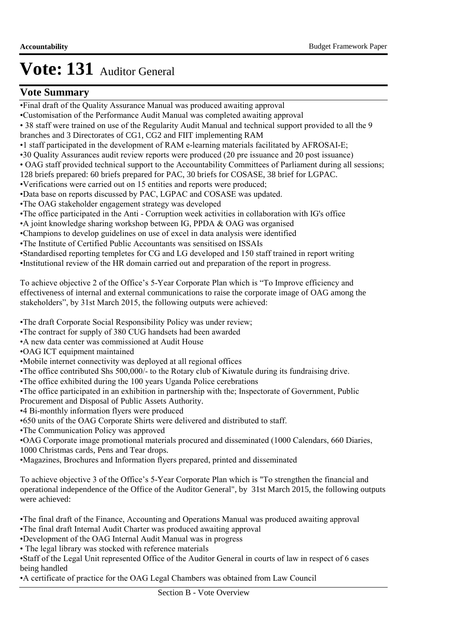## **Vote Summary**

- •Final draft of the Quality Assurance Manual was produced awaiting approval
- •Customisation of the Performance Audit Manual was completed awaiting approval
- 38 staff were trained on use of the Regularity Audit Manual and technical support provided to all the 9 branches and 3 Directorates of CG1, CG2 and FIIT implementing RAM
- •1 staff participated in the development of RAM e-learning materials facilitated by AFROSAI-E;
- •30 Quality Assurances audit review reports were produced (20 pre issuance and 20 post issuance)
- OAG staff provided technical support to the Accountability Committees of Parliament during all sessions;
- 128 briefs prepared: 60 briefs prepared for PAC, 30 briefs for COSASE, 38 brief for LGPAC.
- •Verifications were carried out on 15 entities and reports were produced;
- •Data base on reports discussed by PAC, LGPAC and COSASE was updated.
- •The OAG stakeholder engagement strategy was developed
- •The office participated in the Anti Corruption week activities in collaboration with IG's office
- •A joint knowledge sharing workshop between IG, PPDA & OAG was organised
- •Champions to develop guidelines on use of excel in data analysis were identified
- •The Institute of Certified Public Accountants was sensitised on ISSAIs
- •Standardised reporting templetes for CG and LG developed and 150 staff trained in report writing
- •Institutional review of the HR domain carried out and preparation of the report in progress.

To achieve objective 2 of the Office's 5-Year Corporate Plan which is "To Improve efficiency and effectiveness of internal and external communications to raise the corporate image of OAG among the stakeholders", by 31st March 2015, the following outputs were achieved:

- •The draft Corporate Social Responsibility Policy was under review;
- •The contract for supply of 380 CUG handsets had been awarded
- •A new data center was commissioned at Audit House
- •OAG ICT equipment maintained
- •Mobile internet connectivity was deployed at all regional offices
- •The office contributed Shs 500,000/- to the Rotary club of Kiwatule during its fundraising drive.
- •The office exhibited during the 100 years Uganda Police cerebrations
- •The office participated in an exhibition in partnership with the; Inspectorate of Government, Public
- Procurement and Disposal of Public Assets Authority.
- •4 Bi-monthly information flyers were produced
- •650 units of the OAG Corporate Shirts were delivered and distributed to staff.
- •The Communication Policy was approved
- •OAG Corporate image promotional materials procured and disseminated (1000 Calendars, 660 Diaries, 1000 Christmas cards, Pens and Tear drops.
- •Magazines, Brochures and Information flyers prepared, printed and disseminated
- To achieve objective 3 of the Office's 5-Year Corporate Plan which is "To strengthen the financial and operational independence of the Office of the Auditor General", by 31st March 2015, the following outputs were achieved:
- •The final draft of the Finance, Accounting and Operations Manual was produced awaiting approval
- •The final draft Internal Audit Charter was produced awaiting approval
- •Development of the OAG Internal Audit Manual was in progress
- The legal library was stocked with reference materials
- •Staff of the Legal Unit represented Office of the Auditor General in courts of law in respect of 6 cases being handled
- •A certificate of practice for the OAG Legal Chambers was obtained from Law Council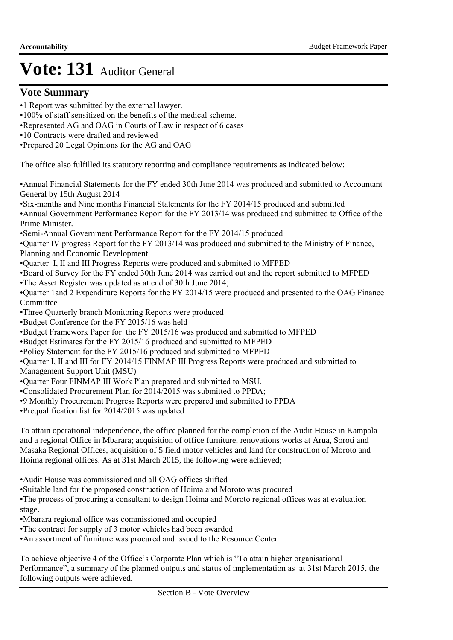### **Vote Summary**

- •1 Report was submitted by the external lawyer.
- •100% of staff sensitized on the benefits of the medical scheme.
- •Represented AG and OAG in Courts of Law in respect of 6 cases
- •10 Contracts were drafted and reviewed

•Prepared 20 Legal Opinions for the AG and OAG

The office also fulfilled its statutory reporting and compliance requirements as indicated below:

•Annual Financial Statements for the FY ended 30th June 2014 was produced and submitted to Accountant General by 15th August 2014

•Six-months and Nine months Financial Statements for the FY 2014/15 produced and submitted

•Annual Government Performance Report for the FY 2013/14 was produced and submitted to Office of the Prime Minister.

•Semi-Annual Government Performance Report for the FY 2014/15 produced

•Quarter IV progress Report for the FY 2013/14 was produced and submitted to the Ministry of Finance, Planning and Economic Development

•Quarter I, II and III Progress Reports were produced and submitted to MFPED

•Board of Survey for the FY ended 30th June 2014 was carried out and the report submitted to MFPED

•The Asset Register was updated as at end of 30th June 2014;

•Quarter 1and 2 Expenditure Reports for the FY 2014/15 were produced and presented to the OAG Finance Committee

- •Three Quarterly branch Monitoring Reports were produced
- •Budget Conference for the FY 2015/16 was held
- •Budget Framework Paper for the FY 2015/16 was produced and submitted to MFPED

•Budget Estimates for the FY 2015/16 produced and submitted to MFPED

•Policy Statement for the FY 2015/16 produced and submitted to MFPED

•Quarter I, II and III for FY 2014/15 FINMAP III Progress Reports were produced and submitted to

Management Support Unit (MSU)

- •Quarter Four FINMAP III Work Plan prepared and submitted to MSU.
- •Consolidated Procurement Plan for 2014/2015 was submitted to PPDA;
- •9 Monthly Procurement Progress Reports were prepared and submitted to PPDA

•Prequalification list for 2014/2015 was updated

To attain operational independence, the office planned for the completion of the Audit House in Kampala and a regional Office in Mbarara; acquisition of office furniture, renovations works at Arua, Soroti and Masaka Regional Offices, acquisition of 5 field motor vehicles and land for construction of Moroto and Hoima regional offices. As at 31st March 2015, the following were achieved;

•Audit House was commissioned and all OAG offices shifted

•Suitable land for the proposed construction of Hoima and Moroto was procured

•The process of procuring a consultant to design Hoima and Moroto regional offices was at evaluation stage.

•Mbarara regional office was commissioned and occupied

•The contract for supply of 3 motor vehicles had been awarded

•An assortment of furniture was procured and issued to the Resource Center

To achieve objective 4 of the Office's Corporate Plan which is "To attain higher organisational Performance", a summary of the planned outputs and status of implementation as at 31st March 2015, the following outputs were achieved.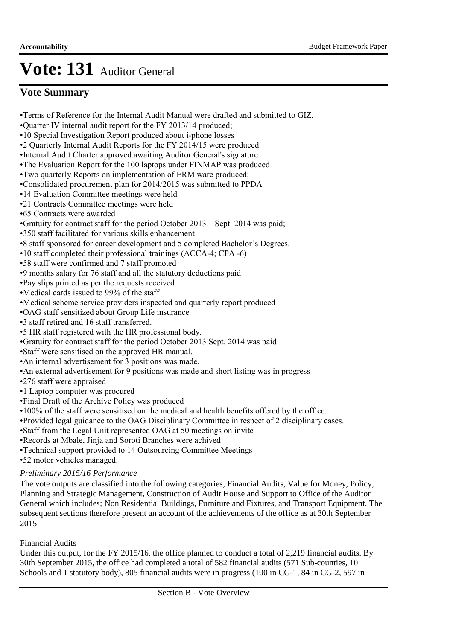## **Vote Summary**

•Terms of Reference for the Internal Audit Manual were drafted and submitted to GIZ.

- •Quarter IV internal audit report for the FY 2013/14 produced;
- •10 Special Investigation Report produced about i-phone losses
- •2 Quarterly Internal Audit Reports for the FY 2014/15 were produced
- •Internal Audit Charter approved awaiting Auditor General's signature
- •The Evaluation Report for the 100 laptops under FINMAP was produced
- •Two quarterly Reports on implementation of ERM ware produced;
- •Consolidated procurement plan for 2014/2015 was submitted to PPDA
- •14 Evaluation Committee meetings were held
- •21 Contracts Committee meetings were held
- •65 Contracts were awarded
- •Gratuity for contract staff for the period October 2013 Sept. 2014 was paid;
- •350 staff facilitated for various skills enhancement
- •8 staff sponsored for career development and 5 completed Bachelor's Degrees.
- •10 staff completed their professional trainings (ACCA-4; CPA -6)
- •58 staff were confirmed and 7 staff promoted
- •9 months salary for 76 staff and all the statutory deductions paid
- •Pay slips printed as per the requests received
- •Medical cards issued to 99% of the staff
- •Medical scheme service providers inspected and quarterly report produced
- •OAG staff sensitized about Group Life insurance
- •3 staff retired and 16 staff transferred.
- •5 HR staff registered with the HR professional body.
- •Gratuity for contract staff for the period October 2013 Sept. 2014 was paid
- •Staff were sensitised on the approved HR manual.
- •An internal advertisement for 3 positions was made.
- •An external advertisement for 9 positions was made and short listing was in progress
- •276 staff were appraised
- •1 Laptop computer was procured
- •Final Draft of the Archive Policy was produced
- •100% of the staff were sensitised on the medical and health benefits offered by the office.
- •Provided legal guidance to the OAG Disciplinary Committee in respect of 2 disciplinary cases.
- •Staff from the Legal Unit represented OAG at 50 meetings on invite
- •Records at Mbale, Jinja and Soroti Branches were achived
- •Technical support provided to 14 Outsourcing Committee Meetings
- •52 motor vehicles managed.

### *Preliminary 2015/16 Performance*

The vote outputs are classified into the following categories; Financial Audits, Value for Money, Policy, Planning and Strategic Management, Construction of Audit House and Support to Office of the Auditor General which includes; Non Residential Buildings, Furniture and Fixtures, and Transport Equipment. The subsequent sections therefore present an account of the achievements of the office as at 30th September 2015

#### Financial Audits

Under this output, for the FY 2015/16, the office planned to conduct a total of 2,219 financial audits. By 30th September 2015, the office had completed a total of 582 financial audits (571 Sub-counties, 10 Schools and 1 statutory body), 805 financial audits were in progress (100 in CG-1, 84 in CG-2, 597 in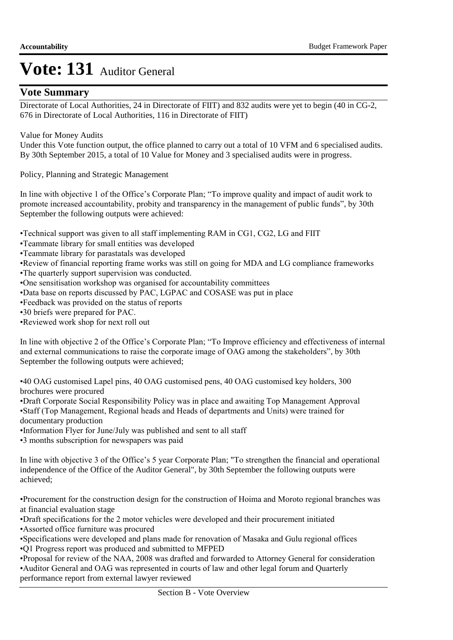## **Vote Summary**

Directorate of Local Authorities, 24 in Directorate of FIIT) and 832 audits were yet to begin (40 in CG-2, 676 in Directorate of Local Authorities, 116 in Directorate of FIIT)

### Value for Money Audits

Under this Vote function output, the office planned to carry out a total of 10 VFM and 6 specialised audits. By 30th September 2015, a total of 10 Value for Money and 3 specialised audits were in progress.

Policy, Planning and Strategic Management

In line with objective 1 of the Office's Corporate Plan; "To improve quality and impact of audit work to promote increased accountability, probity and transparency in the management of public funds", by 30th September the following outputs were achieved:

•Technical support was given to all staff implementing RAM in CG1, CG2, LG and FIIT

- •Teammate library for small entities was developed
- •Teammate library for parastatals was developed
- •Review of financial reporting frame works was still on going for MDA and LG compliance frameworks
- •The quarterly support supervision was conducted.
- •One sensitisation workshop was organised for accountability committees
- •Data base on reports discussed by PAC, LGPAC and COSASE was put in place
- •Feedback was provided on the status of reports
- •30 briefs were prepared for PAC.
- •Reviewed work shop for next roll out

In line with objective 2 of the Office's Corporate Plan; "To Improve efficiency and effectiveness of internal and external communications to raise the corporate image of OAG among the stakeholders", by 30th September the following outputs were achieved;

•40 OAG customised Lapel pins, 40 OAG customised pens, 40 OAG customised key holders, 300 brochures were procured

•Draft Corporate Social Responsibility Policy was in place and awaiting Top Management Approval •Staff (Top Management, Regional heads and Heads of departments and Units) were trained for documentary production

- •Information Flyer for June/July was published and sent to all staff
- •3 months subscription for newspapers was paid

In line with objective 3 of the Office's 5 year Corporate Plan; "To strengthen the financial and operational independence of the Office of the Auditor General", by 30th September the following outputs were achieved;

•Procurement for the construction design for the construction of Hoima and Moroto regional branches was at financial evaluation stage

•Draft specifications for the 2 motor vehicles were developed and their procurement initiated

- •Assorted office furniture was procured
- •Specifications were developed and plans made for renovation of Masaka and Gulu regional offices •Q1 Progress report was produced and submitted to MFPED

•Proposal for review of the NAA, 2008 was drafted and forwarded to Attorney General for consideration •Auditor General and OAG was represented in courts of law and other legal forum and Quarterly performance report from external lawyer reviewed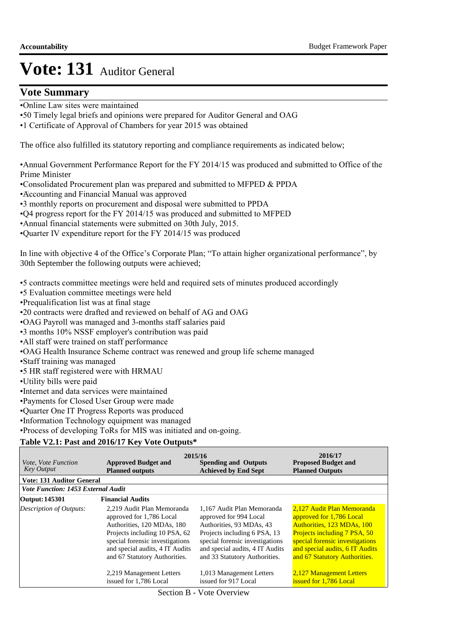### **Vote Summary**

- •Online Law sites were maintained
- •50 Timely legal briefs and opinions were prepared for Auditor General and OAG
- •1 Certificate of Approval of Chambers for year 2015 was obtained

The office also fulfilled its statutory reporting and compliance requirements as indicated below;

•Annual Government Performance Report for the FY 2014/15 was produced and submitted to Office of the Prime Minister

- •Consolidated Procurement plan was prepared and submitted to MFPED & PPDA
- • Accounting and Financial Manual was approved
- •3 monthly reports on procurement and disposal were submitted to PPDA
- •Q4 progress report for the FY 2014/15 was produced and submitted to MFPED
- •Annual financial statements were submitted on 30th July, 2015.
- •Quarter IV expenditure report for the FY 2014/15 was produced

In line with objective 4 of the Office's Corporate Plan; "To attain higher organizational performance", by 30th September the following outputs were achieved;

•5 contracts committee meetings were held and required sets of minutes produced accordingly

- •5 Evaluation committee meetings were held
- •Prequalification list was at final stage
- •20 contracts were drafted and reviewed on behalf of AG and OAG
- •OAG Payroll was managed and 3-months staff salaries paid
- •3 months 10% NSSF employer's contribution was paid
- •All staff were trained on staff performance
- •OAG Health Insurance Scheme contract was renewed and group life scheme managed
- •Staff training was managed
- •5 HR staff registered were with HRMAU
- •Utility bills were paid
- •Internet and data services were maintained
- •Payments for Closed User Group were made
- •Quarter One IT Progress Reports was produced
- •Information Technology equipment was managed

•Process of developing ToRs for MIS was initiated and on-going.

#### **Table V2.1: Past and 2016/17 Key Vote Outputs\***

| <i>Vote, Vote Function</i><br><b>Key Output</b> | <b>Approved Budget and</b><br><b>Planned outputs</b>                                                                                                                                                                         | 2015/16<br><b>Spending and Outputs</b><br><b>Achieved by End Sept</b>                                                                                                                                                   | 2016/17<br><b>Proposed Budget and</b><br><b>Planned Outputs</b>                                                                                                                                                             |
|-------------------------------------------------|------------------------------------------------------------------------------------------------------------------------------------------------------------------------------------------------------------------------------|-------------------------------------------------------------------------------------------------------------------------------------------------------------------------------------------------------------------------|-----------------------------------------------------------------------------------------------------------------------------------------------------------------------------------------------------------------------------|
| <b>Vote: 131 Auditor General</b>                |                                                                                                                                                                                                                              |                                                                                                                                                                                                                         |                                                                                                                                                                                                                             |
| <b>Vote Function: 1453 External Audit</b>       |                                                                                                                                                                                                                              |                                                                                                                                                                                                                         |                                                                                                                                                                                                                             |
| Output: 145301                                  | <b>Financial Audits</b>                                                                                                                                                                                                      |                                                                                                                                                                                                                         |                                                                                                                                                                                                                             |
| <b>Description of Outputs:</b>                  | 2.219 Audit Plan Memoranda<br>approved for 1,786 Local<br>Authorities, 120 MDAs, 180<br>Projects including 10 PSA, 62<br>special forensic investigations<br>and special audits, 4 IT Audits<br>and 67 Statutory Authorities. | 1.167 Audit Plan Memoranda<br>approved for 994 Local<br>Authorities, 93 MDAs, 43<br>Projects including 6 PSA, 13<br>special forensic investigations<br>and special audits, 4 IT Audits<br>and 33 Statutory Authorities. | 2,127 Audit Plan Memoranda<br>approved for 1,786 Local<br>Authorities, 123 MDAs, 100<br>Projects including 7 PSA, 50<br>special forensic investigations<br>and special audits, 6 IT Audits<br>and 67 Statutory Authorities. |
|                                                 | 2,219 Management Letters<br>issued for 1,786 Local                                                                                                                                                                           | 1,013 Management Letters<br>issued for 917 Local                                                                                                                                                                        | 2,127 Management Letters<br>issued for 1.786 Local                                                                                                                                                                          |

Section B - Vote Overview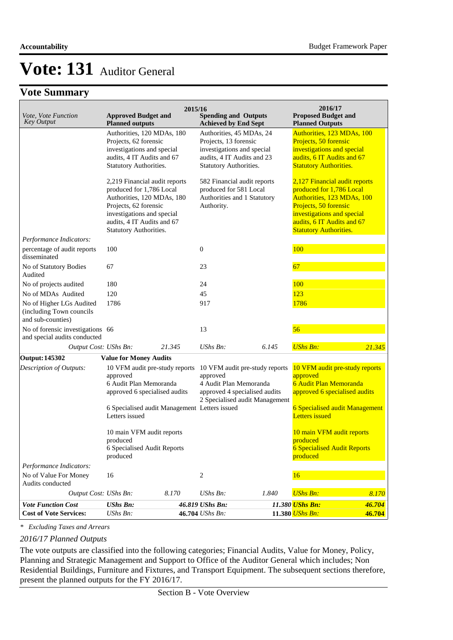## **Vote Summary**

| Vote, Vote Function<br><b>Key Output</b>                                  | <b>Approved Budget and</b><br><b>Planned outputs</b>                                                                                                                                                   | 2015/16 | <b>Spending and Outputs</b><br><b>Achieved by End Sept</b>                                                                              |       | 2016/17<br><b>Proposed Budget and</b><br><b>Planned Outputs</b>                                                                                                                                               |        |
|---------------------------------------------------------------------------|--------------------------------------------------------------------------------------------------------------------------------------------------------------------------------------------------------|---------|-----------------------------------------------------------------------------------------------------------------------------------------|-------|---------------------------------------------------------------------------------------------------------------------------------------------------------------------------------------------------------------|--------|
|                                                                           | Authorities, 120 MDAs, 180<br>Projects, 62 forensic<br>investigations and special<br>audits, 4 IT Audits and 67<br>Statutory Authorities.                                                              |         | Authorities, 45 MDAs, 24<br>Projects, 13 forensic<br>investigations and special<br>audits, 4 IT Audits and 23<br>Statutory Authorities. |       | Authorities, 123 MDAs, 100<br>Projects, 50 forensic<br>investigations and special<br>audits, 6 IT Audits and 67<br><b>Statutory Authorities.</b>                                                              |        |
|                                                                           | 2,219 Financial audit reports<br>produced for 1,786 Local<br>Authorities, 120 MDAs, 180<br>Projects, 62 forensic<br>investigations and special<br>audits, 4 IT Audits and 67<br>Statutory Authorities. |         | 582 Financial audit reports<br>produced for 581 Local<br>Authorities and 1 Statutory<br>Authority.                                      |       | 2,127 Financial audit reports<br>produced for 1,786 Local<br>Authorities, 123 MDAs, 100<br>Projects, 50 forensic<br>investigations and special<br>audits, 6 IT Audits and 67<br><b>Statutory Authorities.</b> |        |
| Performance Indicators:<br>percentage of audit reports                    | 100                                                                                                                                                                                                    |         | $\boldsymbol{0}$                                                                                                                        |       | 100                                                                                                                                                                                                           |        |
| disseminated                                                              |                                                                                                                                                                                                        |         |                                                                                                                                         |       |                                                                                                                                                                                                               |        |
| No of Statutory Bodies<br>Audited                                         | 67                                                                                                                                                                                                     |         | 23                                                                                                                                      |       | 67                                                                                                                                                                                                            |        |
| No of projects audited                                                    | 180                                                                                                                                                                                                    |         | 24                                                                                                                                      |       | 100                                                                                                                                                                                                           |        |
| No of MDAs Audited                                                        | 120                                                                                                                                                                                                    |         | 45                                                                                                                                      |       | 123                                                                                                                                                                                                           |        |
| No of Higher LGs Audited<br>(including Town councils<br>and sub-counties) | 1786                                                                                                                                                                                                   |         | 917                                                                                                                                     |       | 1786                                                                                                                                                                                                          |        |
| No of forensic investigations 66<br>and special audits conducted          |                                                                                                                                                                                                        |         | 13                                                                                                                                      |       | 56                                                                                                                                                                                                            |        |
| Output Cost: UShs Bn:                                                     |                                                                                                                                                                                                        | 21.345  | <b>UShs Bn:</b>                                                                                                                         | 6.145 | <b>UShs Bn:</b>                                                                                                                                                                                               | 21.345 |
| <b>Output: 145302</b>                                                     | <b>Value for Money Audits</b>                                                                                                                                                                          |         |                                                                                                                                         |       |                                                                                                                                                                                                               |        |
| Description of Outputs:                                                   | 10 VFM audit pre-study reports<br>approved<br>6 Audit Plan Memoranda<br>approved 6 specialised audits                                                                                                  |         | 10 VFM audit pre-study reports<br>approved<br>4 Audit Plan Memoranda<br>approved 4 specialised audits<br>2 Specialised audit Management |       | 10 VFM audit pre-study reports<br>approved<br>6 Audit Plan Memoranda<br>approved 6 specialised audits                                                                                                         |        |
|                                                                           | 6 Specialised audit Management Letters issued<br>Letters issued                                                                                                                                        |         |                                                                                                                                         |       | 6 Specialised audit Management<br><b>Letters</b> issued                                                                                                                                                       |        |
|                                                                           | 10 main VFM audit reports<br>produced                                                                                                                                                                  |         |                                                                                                                                         |       | 10 main VFM audit reports<br>produced                                                                                                                                                                         |        |
|                                                                           | 6 Specialised Audit Reports<br>produced                                                                                                                                                                |         |                                                                                                                                         |       | <b>6 Specialised Audit Reports</b><br>produced                                                                                                                                                                |        |
| Performance Indicators:                                                   |                                                                                                                                                                                                        |         |                                                                                                                                         |       |                                                                                                                                                                                                               |        |
| No of Value For Money<br>Audits conducted                                 | 16                                                                                                                                                                                                     |         | 2                                                                                                                                       |       | 16                                                                                                                                                                                                            |        |
| Output Cost: UShs Bn:                                                     |                                                                                                                                                                                                        | 8.170   | UShs Bn:                                                                                                                                | 1.840 | <b>UShs Bn:</b>                                                                                                                                                                                               | 8.170  |
| <b>Vote Function Cost</b>                                                 | <b>UShs Bn:</b>                                                                                                                                                                                        |         | 46.819 UShs Bn:                                                                                                                         |       | 11.380 UShs Bn:                                                                                                                                                                                               | 46.704 |
| <b>Cost of Vote Services:</b>                                             | UShs Bn:                                                                                                                                                                                               |         | 46.704 UShs Bn:                                                                                                                         |       | 11.380 UShs Bn:                                                                                                                                                                                               | 46.704 |

*\* Excluding Taxes and Arrears*

#### *2016/17 Planned Outputs*

The vote outputs are classified into the following categories; Financial Audits, Value for Money, Policy, Planning and Strategic Management and Support to Office of the Auditor General which includes; Non Residential Buildings, Furniture and Fixtures, and Transport Equipment. The subsequent sections therefore, present the planned outputs for the FY 2016/17.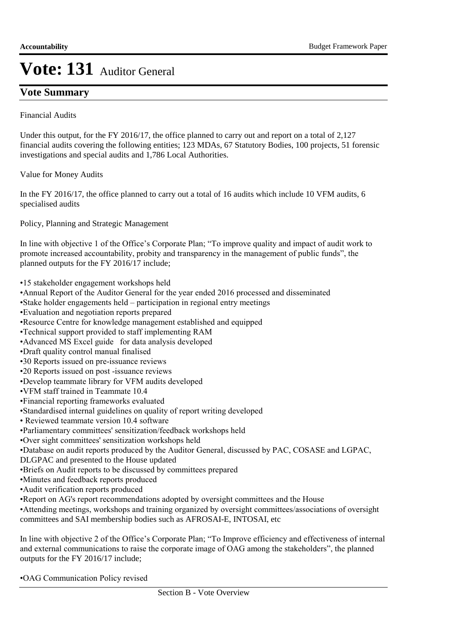## **Vote Summary**

Financial Audits

Under this output, for the FY 2016/17, the office planned to carry out and report on a total of 2,127 financial audits covering the following entities; 123 MDAs, 67 Statutory Bodies, 100 projects, 51 forensic investigations and special audits and 1,786 Local Authorities.

Value for Money Audits

In the FY 2016/17, the office planned to carry out a total of 16 audits which include 10 VFM audits, 6 specialised audits

Policy, Planning and Strategic Management

In line with objective 1 of the Office's Corporate Plan; "To improve quality and impact of audit work to promote increased accountability, probity and transparency in the management of public funds", the planned outputs for the FY 2016/17 include;

- •15 stakeholder engagement workshops held
- •Annual Report of the Auditor General for the year ended 2016 processed and disseminated
- •Stake holder engagements held participation in regional entry meetings
- •Evaluation and negotiation reports prepared
- •Resource Centre for knowledge management established and equipped
- •Technical support provided to staff implementing RAM
- •Advanced MS Excel guide for data analysis developed
- •Draft quality control manual finalised
- •30 Reports issued on pre-issuance reviews
- •20 Reports issued on post -issuance reviews
- •Develop teammate library for VFM audits developed
- •VFM staff trained in Teammate 10.4
- •Financial reporting frameworks evaluated
- •Standardised internal guidelines on quality of report writing developed
- Reviewed teammate version 10.4 software
- •Parliamentary committees' sensitization/feedback workshops held
- •Over sight committees' sensitization workshops held
- •Database on audit reports produced by the Auditor General, discussed by PAC, COSASE and LGPAC,
- DLGPAC and presented to the House updated
- •Briefs on Audit reports to be discussed by committees prepared
- •Minutes and feedback reports produced
- •Audit verification reports produced
- •Report on AG's report recommendations adopted by oversight committees and the House

•Attending meetings, workshops and training organized by oversight committees/associations of oversight committees and SAI membership bodies such as AFROSAI-E, INTOSAI, etc

In line with objective 2 of the Office's Corporate Plan; "To Improve efficiency and effectiveness of internal and external communications to raise the corporate image of OAG among the stakeholders", the planned outputs for the FY 2016/17 include;

•OAG Communication Policy revised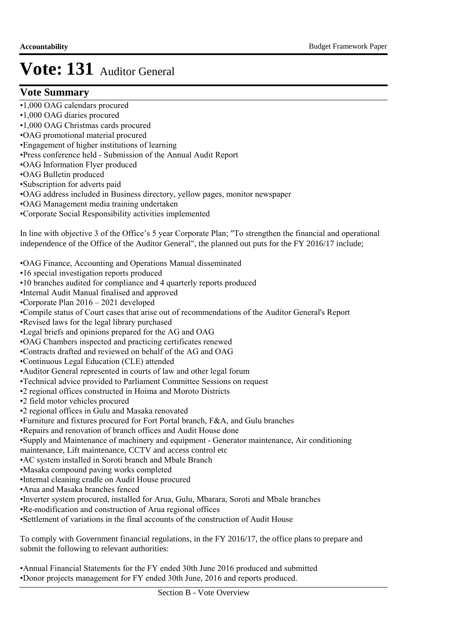### **Vote Summary**

- •1,000 OAG calendars procured
- •1,000 OAG diaries procured
- •1,000 OAG Christmas cards procured
- •OAG promotional material procured
- •Engagement of higher institutions of learning
- •Press conference held Submission of the Annual Audit Report
- •OAG Information Flyer produced
- •OAG Bulletin produced
- •Subscription for adverts paid
- •OAG address included in Business directory, yellow pages, monitor newspaper
- •OAG Management media training undertaken
- •Corporate Social Responsibility activities implemented

In line with objective 3 of the Office's 5 year Corporate Plan; "To strengthen the financial and operational independence of the Office of the Auditor General", the planned out puts for the FY 2016/17 include;

- •OAG Finance, Accounting and Operations Manual disseminated
- •16 special investigation reports produced
- •10 branches audited for compliance and 4 quarterly reports produced
- •Internal Audit Manual finalised and approved
- • Corporate Plan 2016 2021 developed
- •Compile status of Court cases that arise out of recommendations of the Auditor General's Report
- •Revised laws for the legal library purchased
- •Legal briefs and opinions prepared for the AG and OAG
- •OAG Chambers inspected and practicing certificates renewed
- •Contracts drafted and reviewed on behalf of the AG and OAG
- •Continuous Legal Education (CLE) attended
- •Auditor General represented in courts of law and other legal forum
- •Technical advice provided to Parliament Committee Sessions on request
- •2 regional offices constructed in Hoima and Moroto Districts
- •2 field motor vehicles procured
- •2 regional offices in Gulu and Masaka renovated
- •Furniture and fixtures procured for Fort Portal branch, F&A, and Gulu branches
- •Repairs and renovation of branch offices and Audit House done
- •Supply and Maintenance of machinery and equipment Generator maintenance, Air conditioning
- maintenance, Lift maintenance, CCTV and access control etc
- •AC system installed in Soroti branch and Mbale Branch
- •Masaka compound paving works completed
- •Internal cleaning cradle on Audit House procured
- •Arua and Masaka branches fenced
- •Inverter system procured, installed for Arua, Gulu, Mbarara, Soroti and Mbale branches
- •Re-modification and construction of Arua regional offices
- • Settlement of variations in the final accounts of the construction of Audit House

To comply with Government financial regulations, in the FY 2016/17, the office plans to prepare and submit the following to relevant authorities:

•Annual Financial Statements for the FY ended 30th June 2016 produced and submitted •Donor projects management for FY ended 30th June, 2016 and reports produced.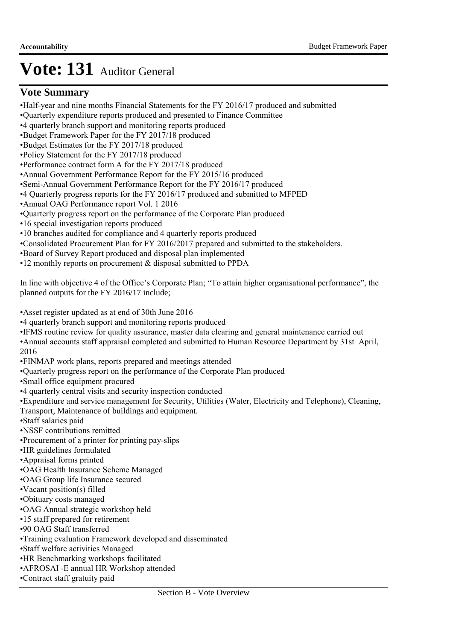## **Vote Summary**

- •Half-year and nine months Financial Statements for the FY 2016/17 produced and submitted
- •Quarterly expenditure reports produced and presented to Finance Committee
- •4 quarterly branch support and monitoring reports produced
- •Budget Framework Paper for the FY 2017/18 produced
- •Budget Estimates for the FY 2017/18 produced
- •Policy Statement for the FY 2017/18 produced
- •Performance contract form A for the FY 2017/18 produced
- •Annual Government Performance Report for the FY 2015/16 produced
- •Semi-Annual Government Performance Report for the FY 2016/17 produced
- •4 Quarterly progress reports for the FY 2016/17 produced and submitted to MFPED
- •Annual OAG Performance report Vol. 1 2016
- •Quarterly progress report on the performance of the Corporate Plan produced
- •16 special investigation reports produced
- •10 branches audited for compliance and 4 quarterly reports produced
- •Consolidated Procurement Plan for FY 2016/2017 prepared and submitted to the stakeholders.
- •Board of Survey Report produced and disposal plan implemented
- •12 monthly reports on procurement & disposal submitted to PPDA

In line with objective 4 of the Office's Corporate Plan; "To attain higher organisational performance", the planned outputs for the FY 2016/17 include;

•Asset register updated as at end of 30th June 2016

- •4 quarterly branch support and monitoring reports produced
- •IFMS routine review for quality assurance, master data clearing and general maintenance carried out
- •Annual accounts staff appraisal completed and submitted to Human Resource Department by 31st April,

2016

- •FINMAP work plans, reports prepared and meetings attended
- •Quarterly progress report on the performance of the Corporate Plan produced
- •Small office equipment procured
- •4 quarterly central visits and security inspection conducted
- •Expenditure and service management for Security, Utilities (Water, Electricity and Telephone), Cleaning,
- Transport, Maintenance of buildings and equipment.
- •Staff salaries paid
- •NSSF contributions remitted
- •Procurement of a printer for printing pay-slips
- •HR guidelines formulated
- •Appraisal forms printed
- •OAG Health Insurance Scheme Managed
- •OAG Group life Insurance secured
- •Vacant position(s) filled
- •Obituary costs managed
- •OAG Annual strategic workshop held
- •15 staff prepared for retirement
- •90 OAG Staff transferred
- •Training evaluation Framework developed and disseminated
- •Staff welfare activities Managed
- •HR Benchmarking workshops facilitated
- •AFROSAI -E annual HR Workshop attended
- •Contract staff gratuity paid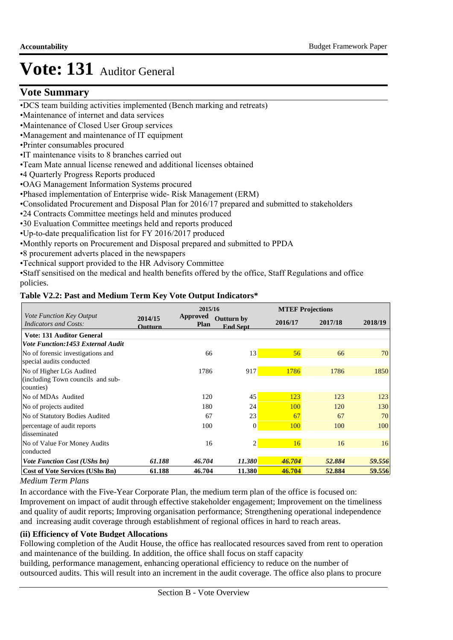## **Vote Summary**

- •DCS team building activities implemented (Bench marking and retreats)
- •Maintenance of internet and data services
- •Maintenance of Closed User Group services
- •Management and maintenance of IT equipment
- •Printer consumables procured
- •IT maintenance visits to 8 branches carried out
- •Team Mate annual license renewed and additional licenses obtained
- •4 Quarterly Progress Reports produced
- •OAG Management Information Systems procured
- •Phased implementation of Enterprise wide- Risk Management (ERM)
- •Consolidated Procurement and Disposal Plan for 2016/17 prepared and submitted to stakeholders
- •24 Contracts Committee meetings held and minutes produced
- •30 Evaluation Committee meetings held and reports produced
- •Up-to-date prequalification list for FY 2016/2017 produced
- •Monthly reports on Procurement and Disposal prepared and submitted to PPDA
- •8 procurement adverts placed in the newspapers
- •Technical support provided to the HR Advisory Committee
- •Staff sensitised on the medical and health benefits offered by the office, Staff Regulations and office policies.

#### **Table V2.2: Past and Medium Term Key Vote Output Indicators\***

|                                                                            |                    | 2015/16                 |                                      |         | <b>MTEF Projections</b> |         |
|----------------------------------------------------------------------------|--------------------|-------------------------|--------------------------------------|---------|-------------------------|---------|
| Vote Function Key Output<br><i>Indicators and Costs:</i>                   | 2014/15<br>Outturn | Approved<br><b>Plan</b> | <b>Outturn by</b><br><b>End Sept</b> | 2016/17 | 2017/18                 | 2018/19 |
| <b>Vote: 131 Auditor General</b>                                           |                    |                         |                                      |         |                         |         |
| <b>Vote Function:1453 External Audit</b>                                   |                    |                         |                                      |         |                         |         |
| No of forensic investigations and<br>special audits conducted              |                    | 66                      | 13                                   | 56      | 66                      | 70      |
| No of Higher LGs Audited<br>(including Town councils and sub-<br>counties) |                    | 1786                    | 917                                  | 1786    | 1786                    | 1850    |
| No of MDAs Audited                                                         |                    | 120                     | 45                                   | 123     | 123                     | 123     |
| No of projects audited                                                     |                    | 180                     | 24                                   | 100     | 120                     | 130     |
| No of Statutory Bodies Audited                                             |                    | 67                      | 23                                   | 67      | 67                      | 70      |
| percentage of audit reports<br>disseminated                                |                    | 100                     | $\vert 0 \vert$                      | 100     | 100                     | 100     |
| No of Value For Money Audits<br>conducted                                  |                    | 16                      | $\overline{2}$                       | 16      | 16                      | 16      |
| <b>Vote Function Cost (UShs bn)</b>                                        | 61.188             | 46.704                  | 11.380                               | 46.704  | 52.884                  | 59.556  |
| <b>Cost of Vote Services (UShs Bn)</b>                                     | 61.188             | 46.704                  | 11.380                               | 46.704  | 52.884                  | 59.556  |

#### *Medium Term Plans*

In accordance with the Five-Year Corporate Plan, the medium term plan of the office is focused on: Improvement on impact of audit through effective stakeholder engagement; Improvement on the timeliness and quality of audit reports; Improving organisation performance; Strengthening operational independence and increasing audit coverage through establishment of regional offices in hard to reach areas.

### **(ii) Efficiency of Vote Budget Allocations**

Following completion of the Audit House, the office has reallocated resources saved from rent to operation and maintenance of the building. In addition, the office shall focus on staff capacity

building, performance management, enhancing operational efficiency to reduce on the number of outsourced audits. This will result into an increment in the audit coverage. The office also plans to procure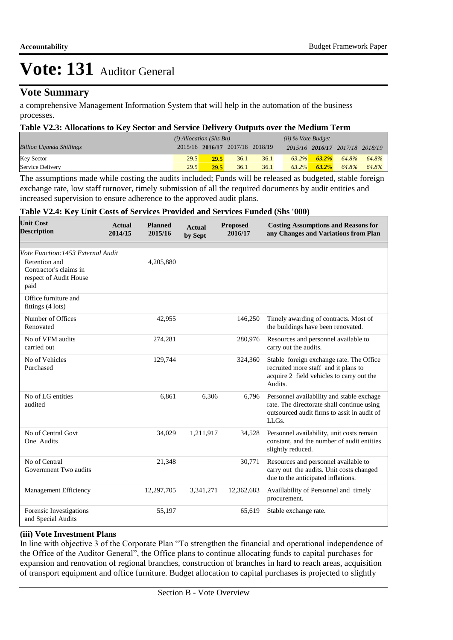## **Vote Summary**

a comprehensive Management Information System that will help in the automation of the business processes.

#### **Table V2.3: Allocations to Key Sector and Service Delivery Outputs over the Medium Term**

|                                 | $(i)$ Allocation (Shs Bn) |                                 |      | $(ii)$ % Vote Budget |          |          |                                 |       |
|---------------------------------|---------------------------|---------------------------------|------|----------------------|----------|----------|---------------------------------|-------|
| <b>Billion Uganda Shillings</b> |                           | 2015/16 2016/17 2017/18 2018/19 |      |                      |          |          | 2015/16 2016/17 2017/18 2018/19 |       |
| <b>Key Sector</b>               | 29.5                      | 29.5                            | 36.1 | 36.1                 | $63.2\%$ | $63.2\%$ | 64.8%                           | 64.8% |
| Service Delivery                | 29.5                      | 29.5                            | 36.1 | 36.1                 | $63.2\%$ | $63.2\%$ | 64.8%                           | 64.8% |

The assumptions made while costing the audits included; Funds will be released as budgeted, stable foreign exchange rate, low staff turnover, timely submission of all the required documents by audit entities and increased supervision to ensure adherence to the approved audit plans.

#### **Table V2.4: Key Unit Costs of Services Provided and Services Funded (Shs '000)**

| <b>Unit Cost</b><br><b>Description</b>                                                                          | <b>Actual</b><br>2014/15 | <b>Planned</b><br>2015/16 | <b>Actual</b><br>by Sept | <b>Proposed</b><br>2016/17 | <b>Costing Assumptions and Reasons for</b><br>any Changes and Variations from Plan                                                              |
|-----------------------------------------------------------------------------------------------------------------|--------------------------|---------------------------|--------------------------|----------------------------|-------------------------------------------------------------------------------------------------------------------------------------------------|
| Vote Function: 1453 External Audit<br>Retention and<br>Contractor's claims in<br>respect of Audit House<br>paid |                          | 4,205,880                 |                          |                            |                                                                                                                                                 |
| Office furniture and<br>fittings $(4 \text{ lots})$                                                             |                          |                           |                          |                            |                                                                                                                                                 |
| Number of Offices<br>Renovated                                                                                  |                          | 42,955                    |                          | 146,250                    | Timely awarding of contracts. Most of<br>the buildings have been renovated.                                                                     |
| No of VFM audits<br>carried out                                                                                 |                          | 274,281                   |                          | 280,976                    | Resources and personnel available to<br>carry out the audits.                                                                                   |
| No of Vehicles<br>Purchased                                                                                     |                          | 129,744                   |                          | 324,360                    | Stable foreign exchange rate. The Office<br>recruited more staff and it plans to<br>acquire 2 field vehicles to carry out the<br>Audits.        |
| No of LG entities<br>audited                                                                                    |                          | 6,861                     | 6,306                    | 6,796                      | Personnel availability and stable exchage<br>rate. The directorate shall continue using<br>outsourced audit firms to assit in audit of<br>LLGs. |
| No of Central Govt<br>One Audits                                                                                |                          | 34,029                    | 1,211,917                | 34,528                     | Personnel availability, unit costs remain<br>constant, and the number of audit entities<br>slightly reduced.                                    |
| No of Central<br>Government Two audits                                                                          |                          | 21,348                    |                          | 30,771                     | Resources and personnel available to<br>carry out the audits. Unit costs changed<br>due to the anticipated inflations.                          |
| Management Efficiency                                                                                           |                          | 12,297,705                | 3,341,271                | 12,362,683                 | Availlability of Personnel and timely<br>procurement.                                                                                           |
| Forensic Investigations<br>and Special Audits                                                                   |                          | 55,197                    |                          | 65,619                     | Stable exchange rate.                                                                                                                           |

#### **(iii) Vote Investment Plans**

In line with objective 3 of the Corporate Plan "To strengthen the financial and operational independence of the Office of the Auditor General", the Office plans to continue allocating funds to capital purchases for expansion and renovation of regional branches, construction of branches in hard to reach areas, acquisition of transport equipment and office furniture. Budget allocation to capital purchases is projected to slightly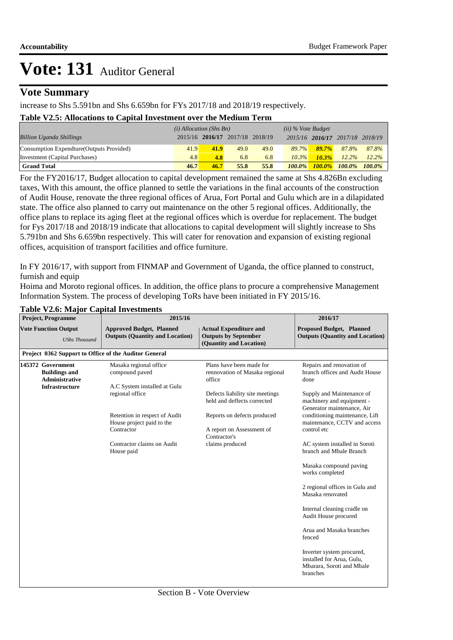### **Vote Summary**

increase to Shs 5.591bn and Shs 6.659bn for FYs 2017/18 and 2018/19 respectively.

#### **Table V2.5: Allocations to Capital Investment over the Medium Term**

|                                           | $(i)$ Allocation (Shs Bn) |                                 |      | $(ii)$ % Vote Budget |           |          |                                 |           |
|-------------------------------------------|---------------------------|---------------------------------|------|----------------------|-----------|----------|---------------------------------|-----------|
| <b>Billion Uganda Shillings</b>           |                           | 2015/16 2016/17 2017/18 2018/19 |      |                      |           |          | 2015/16 2016/17 2017/18 2018/19 |           |
| Consumption Expendture (Outputs Provided) | 41.9                      | 41.9                            | 49.0 | 49.0                 | $89.7\%$  | $89.7\%$ | 87.8%                           | 87.8%     |
| Investment (Capital Purchases)            | 4.8                       | 4.8                             | 6.8  | 6.8                  | $10.3\%$  | $10.3\%$ | $12.2\%$                        | $12.2\%$  |
| <b>Grand Total</b>                        | 46.7                      | 46.7                            | 55.8 | 55.8                 | $100.0\%$ |          | $100.0\%$ $100.0\%$             | $100.0\%$ |

For the FY2016/17, Budget allocation to capital development remained the same at Shs 4.826Bn excluding taxes, With this amount, the office planned to settle the variations in the final accounts of the construction of Audit House, renovate the three regional offices of Arua, Fort Portal and Gulu which are in a dilapidated state. The office also planned to carry out maintenance on the other 5 regional offices. Additionally, the office plans to replace its aging fleet at the regional offices which is overdue for replacement. The budget for Fys 2017/18 and 2018/19 indicate that allocations to capital development will slightly increase to Shs 5.791bn and Shs 6.659bn respectively. This will cater for renovation and expansion of existing regional offices, acquisition of transport facilities and office furniture.

In FY 2016/17, with support from FINMAP and Government of Uganda, the office planned to construct, furnish and equip

Hoima and Moroto regional offices. In addition, the office plans to procure a comprehensive Management Information System. The process of developing ToRs have been initiated in FY 2015/16.

| $\frac{1}{2}$<br><b>Project, Programme</b> |                                                                                             | preur mi , coemicnes<br>2015/16                                           | 2016/17                                                                                 |                                                                                                 |
|--------------------------------------------|---------------------------------------------------------------------------------------------|---------------------------------------------------------------------------|-----------------------------------------------------------------------------------------|-------------------------------------------------------------------------------------------------|
|                                            | <b>Vote Function Output</b><br><b>UShs Thousand</b>                                         | <b>Approved Budget, Planned</b><br><b>Outputs (Quantity and Location)</b> | <b>Actual Expenditure and</b><br><b>Outputs by September</b><br>(Quantity and Location) | <b>Proposed Budget, Planned</b><br><b>Outputs (Quantity and Location)</b>                       |
|                                            |                                                                                             | Project 0362 Support to Office of the Auditor General                     |                                                                                         |                                                                                                 |
|                                            | 145372 Government<br><b>Buildings and</b><br><b>Administrative</b><br><b>Infrastructure</b> | Masaka regional office<br>compound paved<br>A.C System installed at Gulu  | Plans have been made for<br>rennovation of Masaka regional<br>office                    | Repairs and renovation of<br>branch offices and Audit House<br>done                             |
|                                            |                                                                                             | regional office                                                           | Defects liability site meetings<br>held and deffects corrected                          | Supply and Maintenance of<br>machinery and equipment -<br>Generator maintenance, Air            |
|                                            |                                                                                             | Retention in respect of Audit<br>House project paid to the<br>Contractor  | Reports on defects produced<br>A report on Assessment of                                | conditioning maintenance, Lift<br>maintenance, CCTV and access<br>control etc                   |
|                                            |                                                                                             | Contractor claims on Audit<br>House paid                                  | Contractor's<br>claims produced                                                         | AC system installed in Soroti<br>branch and Mbale Branch                                        |
|                                            |                                                                                             |                                                                           |                                                                                         | Masaka compound paving<br>works completed                                                       |
|                                            |                                                                                             |                                                                           |                                                                                         | 2 regional offices in Gulu and<br>Masaka renovated                                              |
|                                            |                                                                                             |                                                                           |                                                                                         | Internal cleaning cradle on<br>Audit House procured                                             |
|                                            |                                                                                             |                                                                           |                                                                                         | Arua and Masaka branches<br>fenced                                                              |
|                                            |                                                                                             |                                                                           |                                                                                         | Inverter system procured,<br>installed for Arua, Gulu,<br>Mbarara, Soroti and Mbale<br>branches |

#### **Table V2.6: Major Capital Investments**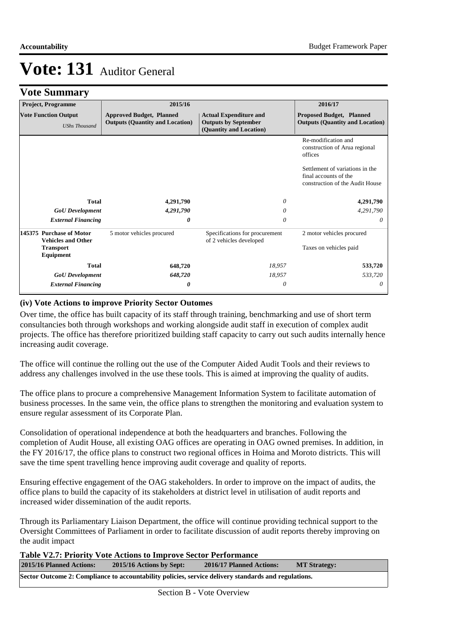## **Vote Summary**

|                                                     | <b>Project, Programme</b>                             | 2015/16                                                                   |                                                                                         | 2016/17                                                                                     |  |
|-----------------------------------------------------|-------------------------------------------------------|---------------------------------------------------------------------------|-----------------------------------------------------------------------------------------|---------------------------------------------------------------------------------------------|--|
| <b>Vote Function Output</b><br><b>UShs Thousand</b> |                                                       | <b>Approved Budget, Planned</b><br><b>Outputs (Quantity and Location)</b> | <b>Actual Expenditure and</b><br><b>Outputs by September</b><br>(Quantity and Location) | <b>Proposed Budget, Planned</b><br><b>Outputs (Quantity and Location)</b>                   |  |
|                                                     |                                                       |                                                                           |                                                                                         | Re-modification and<br>construction of Arua regional<br>offices                             |  |
|                                                     |                                                       |                                                                           |                                                                                         | Settlement of variations in the<br>final accounts of the<br>construction of the Audit House |  |
|                                                     | <b>Total</b>                                          | 4,291,790                                                                 | 0                                                                                       | 4,291,790                                                                                   |  |
|                                                     | <b>GoU</b> Development                                | 4,291,790                                                                 | 0                                                                                       | 4,291,790                                                                                   |  |
|                                                     | <b>External Financing</b>                             | 0                                                                         | 0                                                                                       | 0                                                                                           |  |
|                                                     | 145375 Purchase of Motor<br><b>Vehicles and Other</b> | 5 motor vehicles procured                                                 | Specifications for procurement<br>of 2 vehicles developed                               | 2 motor vehicles procured                                                                   |  |
|                                                     | <b>Transport</b><br>Equipment                         |                                                                           |                                                                                         | Taxes on vehicles paid                                                                      |  |
|                                                     | <b>Total</b>                                          | 648,720                                                                   | 18,957                                                                                  | 533,720                                                                                     |  |
|                                                     | <b>GoU</b> Development                                | 648,720                                                                   | 18,957                                                                                  | 533,720                                                                                     |  |
|                                                     | <b>External Financing</b>                             | 0                                                                         | 0                                                                                       | $\theta$                                                                                    |  |

### **(iv) Vote Actions to improve Priority Sector Outomes**

Over time, the office has built capacity of its staff through training, benchmarking and use of short term consultancies both through workshops and working alongside audit staff in execution of complex audit projects. The office has therefore prioritized building staff capacity to carry out such audits internally hence increasing audit coverage.

The office will continue the rolling out the use of the Computer Aided Audit Tools and their reviews to address any challenges involved in the use these tools. This is aimed at improving the quality of audits.

The office plans to procure a comprehensive Management Information System to facilitate automation of business processes. In the same vein, the office plans to strengthen the monitoring and evaluation system to ensure regular assessment of its Corporate Plan.

Consolidation of operational independence at both the headquarters and branches. Following the completion of Audit House, all existing OAG offices are operating in OAG owned premises. In addition, in the FY 2016/17, the office plans to construct two regional offices in Hoima and Moroto districts. This will save the time spent travelling hence improving audit coverage and quality of reports.

Ensuring effective engagement of the OAG stakeholders. In order to improve on the impact of audits, the office plans to build the capacity of its stakeholders at district level in utilisation of audit reports and increased wider dissemination of the audit reports.

Through its Parliamentary Liaison Department, the office will continue providing technical support to the Oversight Committees of Parliament in order to facilitate discussion of audit reports thereby improving on the audit impact

**Table V2.7: Priority Vote Actions to Improve Sector Performance** 

| 2015/16 Planned Actions: | 2015/16 Actions by Sept: | 2016/17 Planned Actions:                                                                             | <b>MT Strategy:</b> |
|--------------------------|--------------------------|------------------------------------------------------------------------------------------------------|---------------------|
|                          |                          | Sector Outcome 2: Compliance to accountability policies, service delivery standards and regulations. |                     |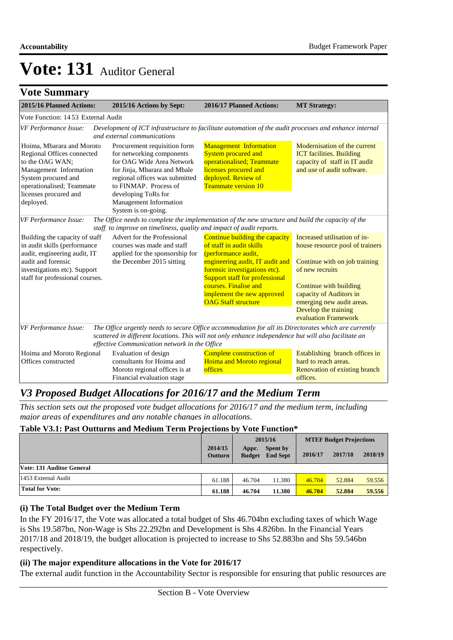## **Vote Summary**

| 2015/16 Planned Actions:                                                                                                                                                                       | 2015/16 Actions by Sept:                                                                                                                                                                                                                                        | 2016/17 Planned Actions:                                                                                                                                                                                                                                                            | <b>MT Strategy:</b>                                                                                                                                                                                                                                   |  |  |  |  |  |  |
|------------------------------------------------------------------------------------------------------------------------------------------------------------------------------------------------|-----------------------------------------------------------------------------------------------------------------------------------------------------------------------------------------------------------------------------------------------------------------|-------------------------------------------------------------------------------------------------------------------------------------------------------------------------------------------------------------------------------------------------------------------------------------|-------------------------------------------------------------------------------------------------------------------------------------------------------------------------------------------------------------------------------------------------------|--|--|--|--|--|--|
| Vote Function: 1453 External Audit                                                                                                                                                             |                                                                                                                                                                                                                                                                 |                                                                                                                                                                                                                                                                                     |                                                                                                                                                                                                                                                       |  |  |  |  |  |  |
| VF Performance Issue:<br>Development of ICT infrastructure to facilitate automation of the audit processes and enhance internal<br>and external communications                                 |                                                                                                                                                                                                                                                                 |                                                                                                                                                                                                                                                                                     |                                                                                                                                                                                                                                                       |  |  |  |  |  |  |
| Hoima, Mbarara and Moroto<br>Regional Offices connected<br>to the OAG WAN:<br>Management Information<br>System procured and<br>operationalised; Teammate<br>licenses procured and<br>deployed. | Procurement requisition form<br>for networking components<br>for OAG Wide Area Network<br>for Jinja, Mbarara and Mbale<br>regional offices was submitted<br>to FINMAP. Process of<br>developing ToRs for<br>Management Information<br>System is on-going.       | <b>Management Information</b><br><b>System procured and</b><br>operationalised; Teammate<br>licenses procured and<br>deployed. Review of<br><b>Teammate version 10</b>                                                                                                              | Modernisation of the current<br><b>ICT</b> facilities. Building<br>capacity of staff in IT audit<br>and use of audit software.                                                                                                                        |  |  |  |  |  |  |
| VF Performance Issue:                                                                                                                                                                          | The Office needs to complete the implementation of the new structure and build the capacity of the<br>staff to improve on timeliness, quality and impact of audit reports.                                                                                      |                                                                                                                                                                                                                                                                                     |                                                                                                                                                                                                                                                       |  |  |  |  |  |  |
| Building the capacity of staff<br>in audit skills (performance<br>audit, engineering audit, IT<br>audit and forensic<br>investigations etc). Support<br>staff for professional courses.        | Advert for the Professional<br>courses was made and staff<br>applied for the sponsorship for<br>the December 2015 sitting                                                                                                                                       | Continue building the capacity<br>of staff in audit skills<br>(performance audit,<br>engineering audit, IT audit and<br>forensic investigations etc).<br><b>Support staff for professional</b><br>courses. Finalise and<br>implement the new approved<br><b>OAG Staff structure</b> | Increased utilisation of in-<br>house resource pool of trainers<br>Continue with on job training<br>of new recruits<br>Continue with building<br>capacity of Auditors in<br>emerging new audit areas.<br>Develop the training<br>evaluation Framework |  |  |  |  |  |  |
| VF Performance Issue:                                                                                                                                                                          | The Office urgently needs to secure Office accommodation for all its Directorates which are currently<br>scattered in different locations. This will not only enhance independence but will also facilitate an<br>effective Communication network in the Office |                                                                                                                                                                                                                                                                                     |                                                                                                                                                                                                                                                       |  |  |  |  |  |  |
| Hoima and Moroto Regional<br>Offices constructed                                                                                                                                               | Evaluation of design<br>consultants for Hoima and<br>Moroto regional offices is at<br>Financial evaluation stage                                                                                                                                                | Complete construction of<br><b>Hoima and Moroto regional</b><br>offices                                                                                                                                                                                                             | Establishing branch offices in<br>hard to reach areas.<br>Renovation of existing branch<br>offices.                                                                                                                                                   |  |  |  |  |  |  |

## *V3 Proposed Budget Allocations for 2016/17 and the Medium Term*

*This section sets out the proposed vote budget allocations for 2016/17 and the medium term, including major areas of expenditures and any notable changes in allocations.* 

### **Table V3.1: Past Outturns and Medium Term Projections by Vote Function\***

|                           |                           | 2015/16                |                             | <b>MTEF Budget Projections</b> |         |         |
|---------------------------|---------------------------|------------------------|-----------------------------|--------------------------------|---------|---------|
|                           | 2014/15<br><b>Outturn</b> | Appr.<br><b>Budget</b> | Spent by<br><b>End Sept</b> | 2016/17                        | 2017/18 | 2018/19 |
| Vote: 131 Auditor General |                           |                        |                             |                                |         |         |
| 1453 External Audit       | 61.188                    | 46.704                 | 11.380                      | 46.704                         | 52.884  | 59.556  |
| <b>Total for Vote:</b>    | 61.188                    | 46.704                 | 11.380                      | 46.704                         | 52,884  | 59.556  |

#### **(i) The Total Budget over the Medium Term**

In the FY 2016/17, the Vote was allocated a total budget of Shs 46.704bn excluding taxes of which Wage is Shs 19.587bn, Non-Wage is Shs 22.292bn and Development is Shs 4.826bn. In the Financial Years 2017/18 and 2018/19, the budget allocation is projected to increase to Shs 52.883bn and Shs 59.546bn respectively.

#### **(ii) The major expenditure allocations in the Vote for 2016/17**

The external audit function in the Accountability Sector is responsible for ensuring that public resources are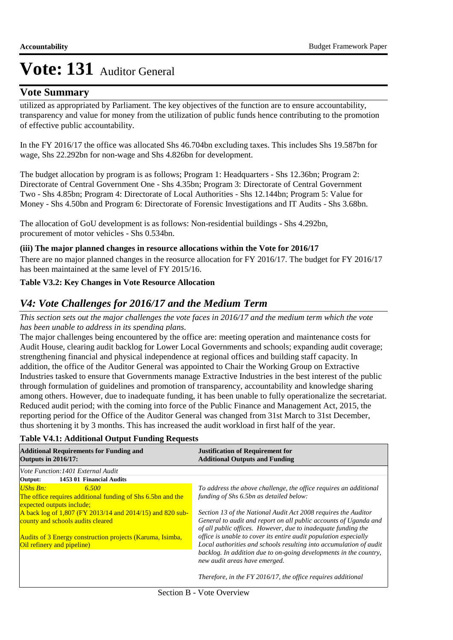## **Vote Summary**

utilized as appropriated by Parliament. The key objectives of the function are to ensure accountability, transparency and value for money from the utilization of public funds hence contributing to the promotion of effective public accountability.

In the FY 2016/17 the office was allocated Shs 46.704bn excluding taxes. This includes Shs 19.587bn for wage, Shs 22.292bn for non-wage and Shs 4.826bn for development.

The budget allocation by program is as follows; Program 1: Headquarters - Shs 12.36bn; Program 2: Directorate of Central Government One - Shs 4.35bn; Program 3: Directorate of Central Government Two - Shs 4.85bn; Program 4: Directorate of Local Authorities - Shs 12.144bn; Program 5: Value for Money - Shs 4.50bn and Program 6: Directorate of Forensic Investigations and IT Audits - Shs 3.68bn.

The allocation of GoU development is as follows: Non-residential buildings - Shs 4.292bn, procurement of motor vehicles - Shs 0.534bn.

### **(iii) The major planned changes in resource allocations within the Vote for 2016/17**

There are no major planned changes in the reosurce allocation for FY 2016/17. The budget for FY 2016/17 has been maintained at the same level of FY 2015/16.

### **Table V3.2: Key Changes in Vote Resource Allocation**

## *V4: Vote Challenges for 2016/17 and the Medium Term*

*This section sets out the major challenges the vote faces in 2016/17 and the medium term which the vote has been unable to address in its spending plans.*

The major challenges being encountered by the office are: meeting operation and maintenance costs for Audit House, clearing audit backlog for Lower Local Governments and schools; expanding audit coverage; strengthening financial and physical independence at regional offices and building staff capacity. In addition, the office of the Auditor General was appointed to Chair the Working Group on Extractive Industries tasked to ensure that Governments manage Extractive Industries in the best interest of the public through formulation of guidelines and promotion of transparency, accountability and knowledge sharing among others. However, due to inadequate funding, it has been unable to fully operationalize the secretariat. Reduced audit period; with the coming into force of the Public Finance and Management Act, 2015, the reporting period for the Office of the Auditor General was changed from 31st March to 31st December, thus shortening it by 3 months. This has increased the audit workload in first half of the year.

| <b>Additional Requirements for Funding and</b><br><b>Outputs in 2016/17:</b> | <b>Justification of Requirement for</b><br><b>Additional Outputs and Funding</b> |  |  |
|------------------------------------------------------------------------------|----------------------------------------------------------------------------------|--|--|
| Vote Function: 1401 External Audit                                           |                                                                                  |  |  |
| 1453 01 Financial Audits<br>Output:                                          |                                                                                  |  |  |
| <b>UShs Bn:</b><br>6.500                                                     | To address the above challenge, the office requires an additional                |  |  |
| The office requires additional funding of Shs 6.5bn and the                  | funding of Shs 6.5bn as detailed below:                                          |  |  |
| expected outputs include;                                                    |                                                                                  |  |  |
| A back log of 1,807 (FY 2013/14 and 2014/15) and 820 sub-                    | Section 13 of the National Audit Act 2008 requires the Auditor                   |  |  |
| county and schools audits cleared                                            | General to audit and report on all public accounts of Uganda and                 |  |  |
|                                                                              | of all public offices. However, due to inadequate funding the                    |  |  |
| Audits of 3 Energy construction projects (Karuma, Isimba,                    | office is unable to cover its entire audit population especially                 |  |  |
| Oil refinery and pipeline)                                                   | Local authorities and schools resulting into accumulation of audit               |  |  |
|                                                                              | backlog. In addition due to on-going developments in the country,                |  |  |
|                                                                              | new audit areas have emerged.                                                    |  |  |
|                                                                              | Therefore, in the FY 2016/17, the office requires additional                     |  |  |

#### **Table V4.1: Additional Output Funding Requests**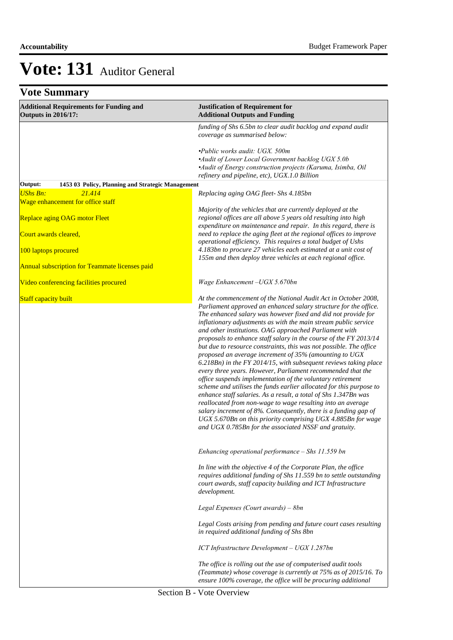| <b>Vote Summary</b>                                                          |                                                                                                                                                                                                                                                                                                                                                                                                                                                                                                                                                                                                                                                                                                                                                                                                                                                                                                                                                                                                                                                                                                                                             |  |  |  |
|------------------------------------------------------------------------------|---------------------------------------------------------------------------------------------------------------------------------------------------------------------------------------------------------------------------------------------------------------------------------------------------------------------------------------------------------------------------------------------------------------------------------------------------------------------------------------------------------------------------------------------------------------------------------------------------------------------------------------------------------------------------------------------------------------------------------------------------------------------------------------------------------------------------------------------------------------------------------------------------------------------------------------------------------------------------------------------------------------------------------------------------------------------------------------------------------------------------------------------|--|--|--|
| <b>Additional Requirements for Funding and</b><br><b>Outputs in 2016/17:</b> | <b>Justification of Requirement for</b><br><b>Additional Outputs and Funding</b>                                                                                                                                                                                                                                                                                                                                                                                                                                                                                                                                                                                                                                                                                                                                                                                                                                                                                                                                                                                                                                                            |  |  |  |
|                                                                              | funding of Shs 6.5bn to clear audit backlog and expand audit<br>coverage as summarised below:                                                                                                                                                                                                                                                                                                                                                                                                                                                                                                                                                                                                                                                                                                                                                                                                                                                                                                                                                                                                                                               |  |  |  |
|                                                                              | •Public works audit: UGX. 500m<br>•Audit of Lower Local Government backlog UGX 5.0b<br>•Audit of Energy construction projects (Karuma, Isimba, Oil<br>refinery and pipeline, etc), UGX.1.0 Billion                                                                                                                                                                                                                                                                                                                                                                                                                                                                                                                                                                                                                                                                                                                                                                                                                                                                                                                                          |  |  |  |
| Output:<br>1453 03 Policy, Planning and Strategic Management                 |                                                                                                                                                                                                                                                                                                                                                                                                                                                                                                                                                                                                                                                                                                                                                                                                                                                                                                                                                                                                                                                                                                                                             |  |  |  |
| 21.414<br><b>UShs Bn:</b><br>Wage enhancement for office staff               | Replacing aging OAG fleet- Shs 4.185bn                                                                                                                                                                                                                                                                                                                                                                                                                                                                                                                                                                                                                                                                                                                                                                                                                                                                                                                                                                                                                                                                                                      |  |  |  |
| <b>Replace aging OAG motor Fleet</b>                                         | Majority of the vehicles that are currently deployed at the<br>regional offices are all above 5 years old resulting into high<br>expenditure on maintenance and repair. In this regard, there is                                                                                                                                                                                                                                                                                                                                                                                                                                                                                                                                                                                                                                                                                                                                                                                                                                                                                                                                            |  |  |  |
| Court awards cleared,                                                        | need to replace the aging fleet at the regional offices to improve<br>operational efficiency. This requires a total budget of Ushs                                                                                                                                                                                                                                                                                                                                                                                                                                                                                                                                                                                                                                                                                                                                                                                                                                                                                                                                                                                                          |  |  |  |
| 100 laptops procured                                                         | 4.183bn to procure 27 vehicles each estimated at a unit cost of<br>155m and then deploy three vehicles at each regional office.                                                                                                                                                                                                                                                                                                                                                                                                                                                                                                                                                                                                                                                                                                                                                                                                                                                                                                                                                                                                             |  |  |  |
| Annual subscription for Teammate licenses paid                               |                                                                                                                                                                                                                                                                                                                                                                                                                                                                                                                                                                                                                                                                                                                                                                                                                                                                                                                                                                                                                                                                                                                                             |  |  |  |
| Video conferencing facilities procured                                       | Wage Enhancement - UGX 5.670bn                                                                                                                                                                                                                                                                                                                                                                                                                                                                                                                                                                                                                                                                                                                                                                                                                                                                                                                                                                                                                                                                                                              |  |  |  |
| <b>Staff capacity built</b>                                                  | At the commencement of the National Audit Act in October 2008,<br>Parliament approved an enhanced salary structure for the office.<br>The enhanced salary was however fixed and did not provide for<br>inflationary adjustments as with the main stream public service<br>and other institutions. OAG approached Parliament with<br>proposals to enhance staff salary in the course of the FY 2013/14<br>but due to resource constraints, this was not possible. The office<br>proposed an average increment of 35% (amounting to UGX<br>6.218Bn) in the FY 2014/15, with subsequent reviews taking place<br>every three years. However, Parliament recommended that the<br>office suspends implementation of the voluntary retirement<br>scheme and utilises the funds earlier allocated for this purpose to<br>enhance staff salaries. As a result, a total of Shs 1.347Bn was<br>reallocated from non-wage to wage resulting into an average<br>salary increment of 8%. Consequently, there is a funding gap of<br>UGX 5.670Bn on this priority comprising UGX 4.885Bn for wage<br>and UGX 0.785Bn for the associated NSSF and gratuity. |  |  |  |
|                                                                              | Enhancing operational performance $-$ Shs 11.559 bn                                                                                                                                                                                                                                                                                                                                                                                                                                                                                                                                                                                                                                                                                                                                                                                                                                                                                                                                                                                                                                                                                         |  |  |  |
|                                                                              | In line with the objective 4 of the Corporate Plan, the office<br>requires additional funding of Shs 11.559 bn to settle outstanding<br>court awards, staff capacity building and ICT Infrastructure<br>development.                                                                                                                                                                                                                                                                                                                                                                                                                                                                                                                                                                                                                                                                                                                                                                                                                                                                                                                        |  |  |  |
|                                                                              | Legal Expenses (Court awards) - 8bn                                                                                                                                                                                                                                                                                                                                                                                                                                                                                                                                                                                                                                                                                                                                                                                                                                                                                                                                                                                                                                                                                                         |  |  |  |
|                                                                              | Legal Costs arising from pending and future court cases resulting<br>in required additional funding of Shs 8bn                                                                                                                                                                                                                                                                                                                                                                                                                                                                                                                                                                                                                                                                                                                                                                                                                                                                                                                                                                                                                              |  |  |  |
|                                                                              | ICT Infrastructure Development - UGX 1.287bn                                                                                                                                                                                                                                                                                                                                                                                                                                                                                                                                                                                                                                                                                                                                                                                                                                                                                                                                                                                                                                                                                                |  |  |  |
|                                                                              | The office is rolling out the use of computerised audit tools<br>(Teammate) whose coverage is currently at 75% as of 2015/16. To<br>ensure 100% coverage, the office will be procuring additional                                                                                                                                                                                                                                                                                                                                                                                                                                                                                                                                                                                                                                                                                                                                                                                                                                                                                                                                           |  |  |  |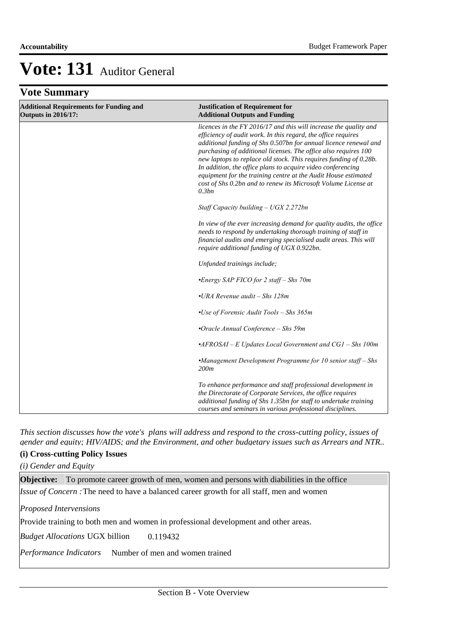## **Vote Summary**

| <b>Additional Requirements for Funding and</b><br><b>Outputs in 2016/17:</b> | <b>Justification of Requirement for</b><br><b>Additional Outputs and Funding</b>                                                                                                                                                                                                                                                                                                                                                                                                                                                                           |
|------------------------------------------------------------------------------|------------------------------------------------------------------------------------------------------------------------------------------------------------------------------------------------------------------------------------------------------------------------------------------------------------------------------------------------------------------------------------------------------------------------------------------------------------------------------------------------------------------------------------------------------------|
|                                                                              | licences in the FY 2016/17 and this will increase the quality and<br>efficiency of audit work. In this regard, the office requires<br>additional funding of Shs 0.507bn for annual licence renewal and<br>purchasing of additional licenses. The office also requires 100<br>new laptops to replace old stock. This requires funding of 0.28b.<br>In addition, the office plans to acquire video conferencing<br>equipment for the training centre at the Audit House estimated<br>cost of Shs 0.2bn and to renew its Microsoft Volume License at<br>0.3bn |
|                                                                              | Staff Capacity building $- UGX 2.272bn$                                                                                                                                                                                                                                                                                                                                                                                                                                                                                                                    |
|                                                                              | In view of the ever increasing demand for quality audits, the office<br>needs to respond by undertaking thorough training of staff in<br>financial audits and emerging specialised audit areas. This will<br>require additional funding of UGX 0.922bn.                                                                                                                                                                                                                                                                                                    |
|                                                                              | Unfunded trainings include;                                                                                                                                                                                                                                                                                                                                                                                                                                                                                                                                |
|                                                                              | •Energy SAP FICO for 2 staff – Shs 70m                                                                                                                                                                                                                                                                                                                                                                                                                                                                                                                     |
|                                                                              | $\cdot$ URA Revenue audit – Shs 128m                                                                                                                                                                                                                                                                                                                                                                                                                                                                                                                       |
|                                                                              | •Use of Forensic Audit Tools - Shs 365m                                                                                                                                                                                                                                                                                                                                                                                                                                                                                                                    |
|                                                                              | •Oracle Annual Conference - Shs 59m                                                                                                                                                                                                                                                                                                                                                                                                                                                                                                                        |
|                                                                              | $\cdot$ AFROSAI - E Updates Local Government and CG1 - Shs 100m                                                                                                                                                                                                                                                                                                                                                                                                                                                                                            |
|                                                                              | •Management Development Programme for 10 senior staff - Shs<br>200m                                                                                                                                                                                                                                                                                                                                                                                                                                                                                        |
|                                                                              | To enhance performance and staff professional development in<br>the Directorate of Corporate Services, the office requires<br>additional funding of Shs 1.35bn for staff to undertake training<br>courses and seminars in various professional disciplines.                                                                                                                                                                                                                                                                                                |

*This section discusses how the vote's plans will address and respond to the cross-cutting policy, issues of gender and equity; HIV/AIDS; and the Environment, and other budgetary issues such as Arrears and NTR..* 

### **(i) Cross-cutting Policy Issues**

*(i) Gender and Equity*

**Objective:** To promote career growth of men, women and persons with diabilities in the office *Issue of Concern* : The need to have a balanced career growth for all staff, men and women Provide training to both men and women in professional development and other areas. 0.119432 Performance Indicators Number of men and women trained *Proposed Intervensions Budget Allocations*  UGX billion